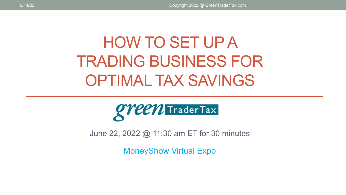# HOW TO SET UP A TRADING BUSINESS FOR OPTIMAL TAX SAVINGS



June 22, 2022 @ 11:30 am ET for 30 minutes

MoneyShow Virtual Expo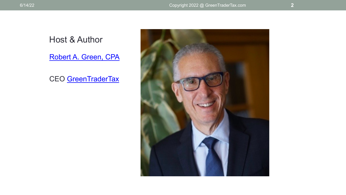#### Host & Author

[Robert A. Green, CPA](https://greentradertax.com/about-us/professionals/robert-a-green-cpa/)

CEO [GreenTraderTax](https://greentradertax.com/)

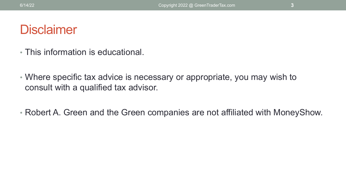#### **Disclaimer**

- This information is educational.
- Where specific tax advice is necessary or appropriate, you may wish to consult with a qualified tax advisor.
- Robert A. Green and the Green companies are not affiliated with MoneyShow.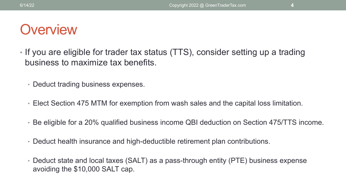### **Overview**

- If you are eligible for trader tax status (TTS), consider setting up a trading business to maximize tax benefits.
	- Deduct trading business expenses.
	- Elect Section 475 MTM for exemption from wash sales and the capital loss limitation.
	- Be eligible for a 20% qualified business income QBI deduction on Section 475/TTS income.
	- Deduct health insurance and high-deductible retirement plan contributions.
	- Deduct state and local taxes (SALT) as a pass-through entity (PTE) business expense avoiding the \$10,000 SALT cap.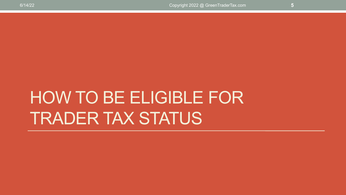# HOW TO BE ELIGIBLE FOR TRADER TAX STATUS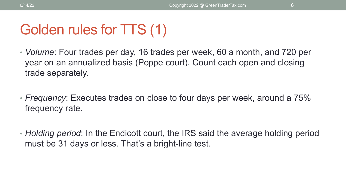## Golden rules for TTS (1)

- *Volume*: Four trades per day, 16 trades per week, 60 a month, and 720 per year on an annualized basis (Poppe court). Count each open and closing trade separately.
- *Frequency*: Executes trades on close to four days per week, around a 75% frequency rate.
- *Holding period*: In the Endicott court, the IRS said the average holding period must be 31 days or less. That's a bright-line test.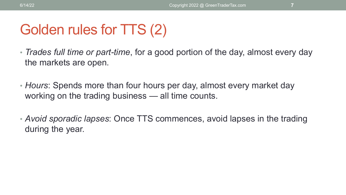# Golden rules for TTS (2)

- *Trades full time or part-time*, for a good portion of the day, almost every day the markets are open.
- *Hours*: Spends more than four hours per day, almost every market day working on the trading business — all time counts.
- *Avoid sporadic lapses*: Once TTS commences, avoid lapses in the trading during the year.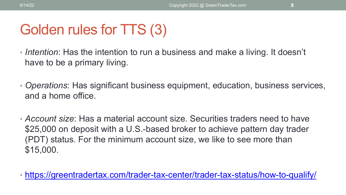# Golden rules for TTS (3)

- *Intention*: Has the intention to run a business and make a living. It doesn't have to be a primary living.
- *Operations*: Has significant business equipment, education, business services, and a home office.
- *Account size*: Has a material account size. Securities traders need to have \$25,000 on deposit with a U.S.-based broker to achieve pattern day trader (PDT) status. For the minimum account size, we like to see more than \$15,000.
- <https://greentradertax.com/trader-tax-center/trader-tax-status/how-to-qualify/>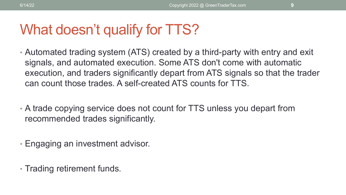### What doesn't qualify for TTS?

- Automated trading system (ATS) created by a third-party with entry and exit signals, and automated execution. Some ATS don't come with automatic execution, and traders significantly depart from ATS signals so that the trader can count those trades. A self-created ATS counts for TTS.
- A trade copying service does not count for TTS unless you depart from recommended trades significantly.
- Engaging an investment advisor.
- Trading retirement funds.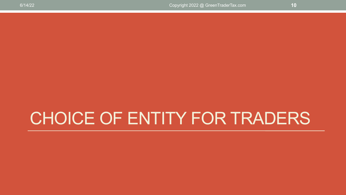# CHOICE OF ENTITY FOR TRADERS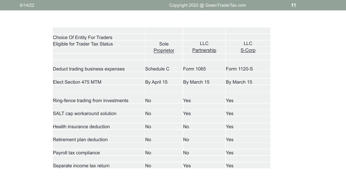| <b>Choice Of Entity For Traders</b>   |                   |                  |                    |
|---------------------------------------|-------------------|------------------|--------------------|
| <b>Eligible for Trader Tax Status</b> | Sole              | <b>LLC</b>       | <b>LLC</b>         |
|                                       | Proprietor        | Partnership      | S-Corp             |
|                                       |                   |                  |                    |
|                                       |                   |                  |                    |
| Deduct trading business expenses      | <b>Schedule C</b> | <b>Form 1065</b> | <b>Form 1120-S</b> |
|                                       |                   |                  |                    |
| Elect Section 475 MTM                 | By April 15       | By March 15      | By March 15        |
|                                       |                   |                  |                    |
| Ring-fence trading from investments   | <b>No</b>         | Yes              | Yes                |
|                                       |                   |                  |                    |
| SALT cap workaround solution          | <b>No</b>         | Yes              | Yes                |
|                                       |                   |                  |                    |
| Health insurance deduction            | <b>No</b>         | <b>No</b>        | <b>Yes</b>         |
|                                       |                   |                  |                    |
| Retirement plan deduction             | <b>No</b>         | <b>No</b>        | <b>Yes</b>         |
|                                       |                   |                  |                    |
| Payroll tax compliance                | <b>No</b>         | <b>No</b>        | <b>Yes</b>         |
|                                       |                   |                  |                    |
| Separate income tax return            | <b>No</b>         | Yes              | Yes                |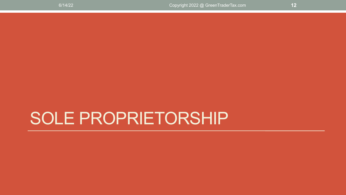# SOLE PROPRIETORSHIP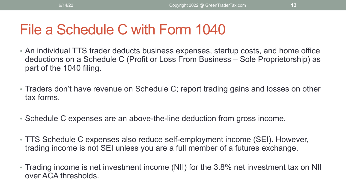### File a Schedule C with Form 1040

- An individual TTS trader deducts business expenses, startup costs, and home office deductions on a Schedule C (Profit or Loss From Business – Sole Proprietorship) as part of the 1040 filing.
- Traders don't have revenue on Schedule C; report trading gains and losses on other tax forms.
- Schedule C expenses are an above-the-line deduction from gross income.
- TTS Schedule C expenses also reduce self-employment income (SEI). However, trading income is not SEI unless you are a full member of a futures exchange.
- Trading income is net investment income (NII) for the 3.8% net investment tax on NII over ACA thresholds.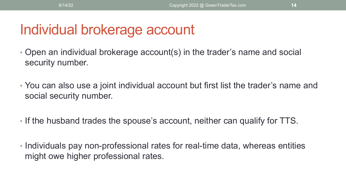### Individual brokerage account

- Open an individual brokerage account(s) in the trader's name and social security number.
- You can also use a joint individual account but first list the trader's name and social security number.
- If the husband trades the spouse's account, neither can qualify for TTS.
- Individuals pay non-professional rates for real-time data, whereas entities might owe higher professional rates.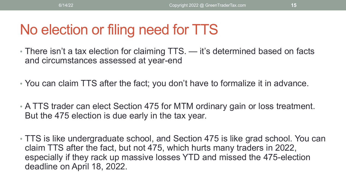# No election or filing need for TTS

- There isn't a tax election for claiming TTS. it's determined based on facts and circumstances assessed at year-end
- You can claim TTS after the fact; you don't have to formalize it in advance.
- A TTS trader can elect Section 475 for MTM ordinary gain or loss treatment. But the 475 election is due early in the tax year.
- TTS is like undergraduate school, and Section 475 is like grad school. You can claim TTS after the fact, but not 475, which hurts many traders in 2022, especially if they rack up massive losses YTD and missed the 475-election deadline on April 18, 2022.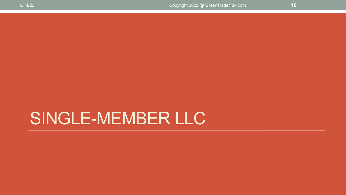# SINGLE-MEMBER LLC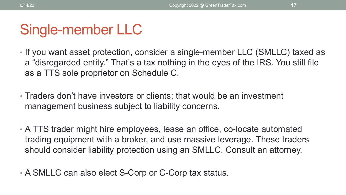## Single-member LLC

- If you want asset protection, consider a single-member LLC (SMLLC) taxed as a "disregarded entity." That's a tax nothing in the eyes of the IRS. You still file as a TTS sole proprietor on Schedule C.
- Traders don't have investors or clients; that would be an investment management business subject to liability concerns.
- A TTS trader might hire employees, lease an office, co-locate automated trading equipment with a broker, and use massive leverage. These traders should consider liability protection using an SMLLC. Consult an attorney.
- A SMLLC can also elect S-Corp or C-Corp tax status.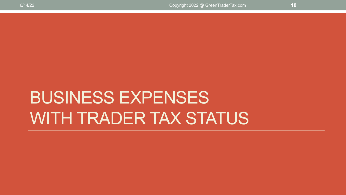# BUSINESS EXPENSES WITH TRADER TAX STATUS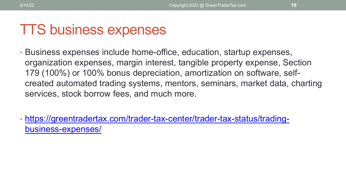#### TTS business expenses

- Business expenses include home-office, education, startup expenses, organization expenses, margin interest, tangible property expense, Section 179 (100%) or 100% bonus depreciation, amortization on software, selfcreated automated trading systems, mentors, seminars, market data, charting services, stock borrow fees, and much more.
- [https://greentradertax.com/trader-tax-center/trader-tax-status/trading](https://greentradertax.com/trader-tax-center/trader-tax-status/trading-business-expenses/)business-expenses/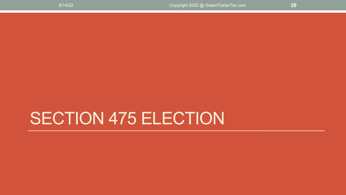# SECTION 475 ELECTION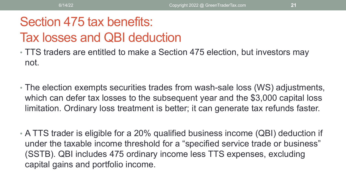#### Section 475 tax benefits: Tax losses and QBI deduction

- TTS traders are entitled to make a Section 475 election, but investors may not.
- The election exempts securities trades from wash-sale loss (WS) adjustments, which can defer tax losses to the subsequent year and the \$3,000 capital loss limitation. Ordinary loss treatment is better; it can generate tax refunds faster.
- A TTS trader is eligible for a 20% qualified business income (QBI) deduction if under the taxable income threshold for a "specified service trade or business" (SSTB). QBI includes 475 ordinary income less TTS expenses, excluding capital gains and portfolio income.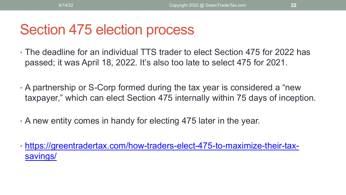### Section 475 election process

- The deadline for an individual TTS trader to elect Section 475 for 2022 has passed; it was April 18, 2022. It's also too late to select 475 for 2021.
- A partnership or S-Corp formed during the tax year is considered a "new taxpayer," which can elect Section 475 internally within 75 days of inception.
- A new entity comes in handy for electing 475 later in the year.
- [https://greentradertax.com/how-traders-elect-475-to-maximize-their-tax](https://greentradertax.com/how-traders-elect-475-to-maximize-their-tax-savings/)savings/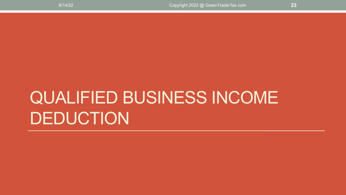# QUALIFIED BUSINESS INCOME DEDUCTION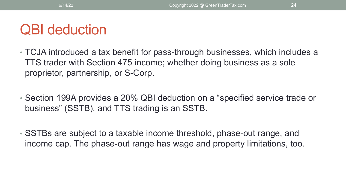### QBI deduction

- TCJA introduced a tax benefit for pass-through businesses, which includes a TTS trader with Section 475 income; whether doing business as a sole proprietor, partnership, or S-Corp.
- Section 199A provides a 20% QBI deduction on a "specified service trade or business" (SSTB), and TTS trading is an SSTB.
- SSTBs are subject to a taxable income threshold, phase-out range, and income cap. The phase-out range has wage and property limitations, too.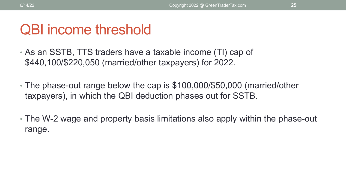#### QBI income threshold

- As an SSTB, TTS traders have a taxable income (TI) cap of \$440,100/\$220,050 (married/other taxpayers) for 2022.
- The phase-out range below the cap is \$100,000/\$50,000 (married/other taxpayers), in which the QBI deduction phases out for SSTB.
- The W-2 wage and property basis limitations also apply within the phase-out range.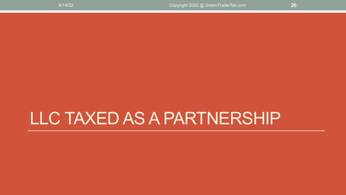# LLC TAXED AS A PARTNERSHIP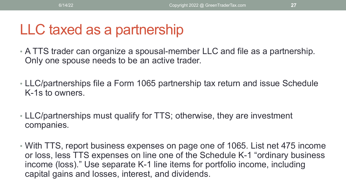## LLC taxed as a partnership

- A TTS trader can organize a spousal-member LLC and file as a partnership. Only one spouse needs to be an active trader.
- LLC/partnerships file a Form 1065 partnership tax return and issue Schedule K-1s to owners.
- LLC/partnerships must qualify for TTS; otherwise, they are investment companies.
- With TTS, report business expenses on page one of 1065. List net 475 income or loss, less TTS expenses on line one of the Schedule K-1 "ordinary business income (loss)." Use separate K-1 line items for portfolio income, including capital gains and losses, interest, and dividends.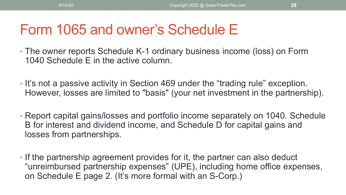### Form 1065 and owner's Schedule E

- The owner reports Schedule K-1 ordinary business income (loss) on Form 1040 Schedule E in the active column.
- It's not a passive activity in Section 469 under the "trading rule" exception. However, losses are limited to "basis" (your net investment in the partnership).
- Report capital gains/losses and portfolio income separately on 1040. Schedule B for interest and dividend income, and Schedule D for capital gains and losses from partnerships.
- If the partnership agreement provides for it, the partner can also deduct "unreimbursed partnership expenses" (UPE), including home office expenses, on Schedule E page 2. (It's more formal with an S-Corp.)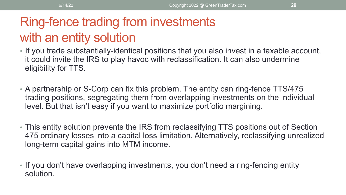### Ring-fence trading from investments with an entity solution

- If you trade substantially-identical positions that you also invest in a taxable account, it could invite the IRS to play havoc with reclassification. It can also undermine eligibility for TTS.
- A partnership or S-Corp can fix this problem. The entity can ring-fence TTS/475 trading positions, segregating them from overlapping investments on the individual level. But that isn't easy if you want to maximize portfolio margining.
- This entity solution prevents the IRS from reclassifying TTS positions out of Section 475 ordinary losses into a capital loss limitation. Alternatively, reclassifying unrealized long-term capital gains into MTM income.
- If you don't have overlapping investments, you don't need a ring-fencing entity solution.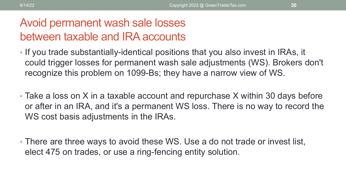#### Avoid permanent wash sale losses between taxable and IRA accounts

- If you trade substantially-identical positions that you also invest in IRAs, it could trigger losses for permanent wash sale adjustments (WS). Brokers don't recognize this problem on 1099-Bs; they have a narrow view of WS.
- Take a loss on X in a taxable account and repurchase X within 30 days before or after in an IRA, and it's a permanent WS loss. There is no way to record the WS cost basis adjustments in the IRAs.
- There are three ways to avoid these WS. Use a do not trade or invest list, elect 475 on trades, or use a ring-fencing entity solution.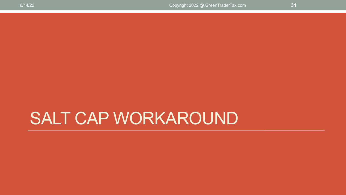# SALT CAP WORKAROUND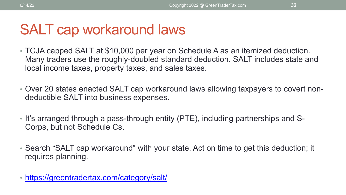### SALT cap workaround laws

- TCJA capped SALT at \$10,000 per year on Schedule A as an itemized deduction. Many traders use the roughly-doubled standard deduction. SALT includes state and local income taxes, property taxes, and sales taxes.
- Over 20 states enacted SALT cap workaround laws allowing taxpayers to covert nondeductible SALT into business expenses.
- It's arranged through a pass-through entity (PTE), including partnerships and S-Corps, but not Schedule Cs.
- Search "SALT cap workaround" with your state. Act on time to get this deduction; it requires planning.
- <https://greentradertax.com/category/salt/>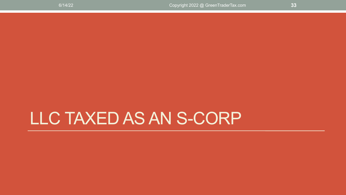# LLC TAXED AS AN S-CORP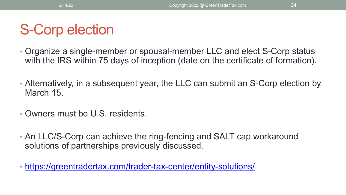# S-Corp election

- Organize a single-member or spousal-member LLC and elect S-Corp status with the IRS within 75 days of inception (date on the certificate of formation).
- Alternatively, in a subsequent year, the LLC can submit an S-Corp election by March 15.
- Owners must be U.S. residents.
- An LLC/S-Corp can achieve the ring-fencing and SALT cap workaround solutions of partnerships previously discussed.
- <https://greentradertax.com/trader-tax-center/entity-solutions/>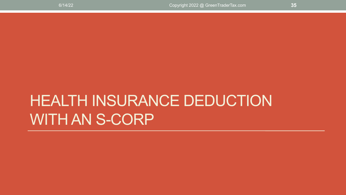# HEALTH INSURANCE DEDUCTION WITH AN S-CORP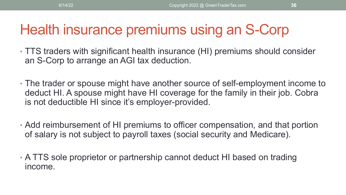### Health insurance premiums using an S-Corp

- TTS traders with significant health insurance (HI) premiums should consider an S-Corp to arrange an AGI tax deduction.
- The trader or spouse might have another source of self-employment income to deduct HI. A spouse might have HI coverage for the family in their job. Cobra is not deductible HI since it's employer-provided.
- Add reimbursement of HI premiums to officer compensation, and that portion of salary is not subject to payroll taxes (social security and Medicare).
- A TTS sole proprietor or partnership cannot deduct HI based on trading income.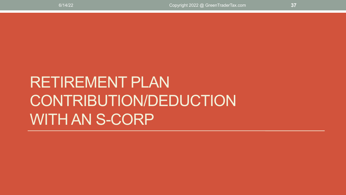# RETIREMENT PLAN CONTRIBUTION/DEDUCTION WITH AN S-CORP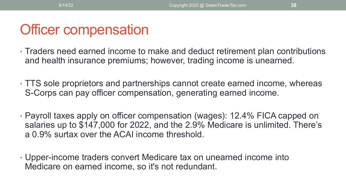### Officer compensation

- Traders need earned income to make and deduct retirement plan contributions and health insurance premiums; however, trading income is unearned.
- TTS sole proprietors and partnerships cannot create earned income, whereas S-Corps can pay officer compensation, generating earned income.
- Payroll taxes apply on officer compensation (wages): 12.4% FICA capped on salaries up to \$147,000 for 2022, and the 2.9% Medicare is unlimited. There's a 0.9% surtax over the ACAI income threshold.
- Upper-income traders convert Medicare tax on unearned income into Medicare on earned income, so it's not redundant.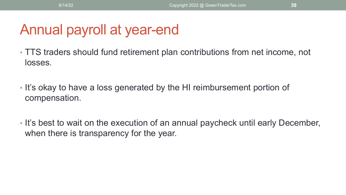# Annual payroll at year-end

- TTS traders should fund retirement plan contributions from net income, not losses.
- It's okay to have a loss generated by the HI reimbursement portion of compensation.
- It's best to wait on the execution of an annual paycheck until early December, when there is transparency for the year.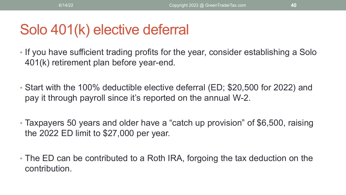# Solo 401(k) elective deferral

- If you have sufficient trading profits for the year, consider establishing a Solo 401(k) retirement plan before year-end.
- Start with the 100% deductible elective deferral (ED; \$20,500 for 2022) and pay it through payroll since it's reported on the annual W-2.
- Taxpayers 50 years and older have a "catch up provision" of \$6,500, raising the 2022 ED limit to \$27,000 per year.
- The ED can be contributed to a Roth IRA, forgoing the tax deduction on the contribution.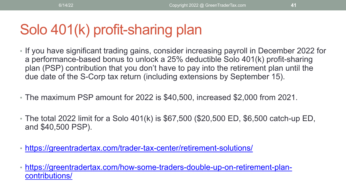# Solo 401(k) profit-sharing plan

- If you have significant trading gains, consider increasing payroll in December 2022 for a performance-based bonus to unlock a 25% deductible Solo 401(k) profit-sharing plan (PSP) contribution that you don't have to pay into the retirement plan until the due date of the S-Corp tax return (including extensions by September 15).
- The maximum PSP amount for 2022 is \$40,500, increased \$2,000 from 2021.
- The total 2022 limit for a Solo 401(k) is \$67,500 (\$20,500 ED, \$6,500 catch-up ED, and \$40,500 PSP).
- <https://greentradertax.com/trader-tax-center/retirement-solutions/>
- [https://greentradertax.com/how-some-traders-double-up-on-retirement-plan](https://greentradertax.com/how-some-traders-double-up-on-retirement-plan-contributions/)contributions/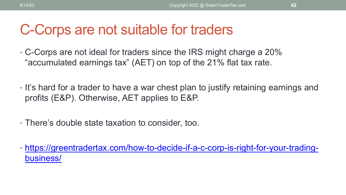### C-Corps are not suitable for traders

• C-Corps are not ideal for traders since the IRS might charge a 20% "accumulated earnings tax" (AET) on top of the 21% flat tax rate.

- It's hard for a trader to have a war chest plan to justify retaining earnings and profits (E&P). Otherwise, AET applies to E&P.
- There's double state taxation to consider, too.
- [https://greentradertax.com/how-to-decide-if-a-c-corp-is-right-for-your-trading](https://greentradertax.com/how-to-decide-if-a-c-corp-is-right-for-your-trading-business/)business/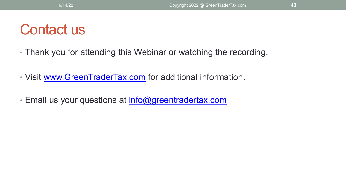#### Contact us

- Thank you for attending this Webinar or watching the recording.
- Visit [www.GreenTraderTax.com](http://www.greentradertax.com/) for additional information.
- Email us your questions at [info@greentradertax.com](mailto:info@greentradertax.com)